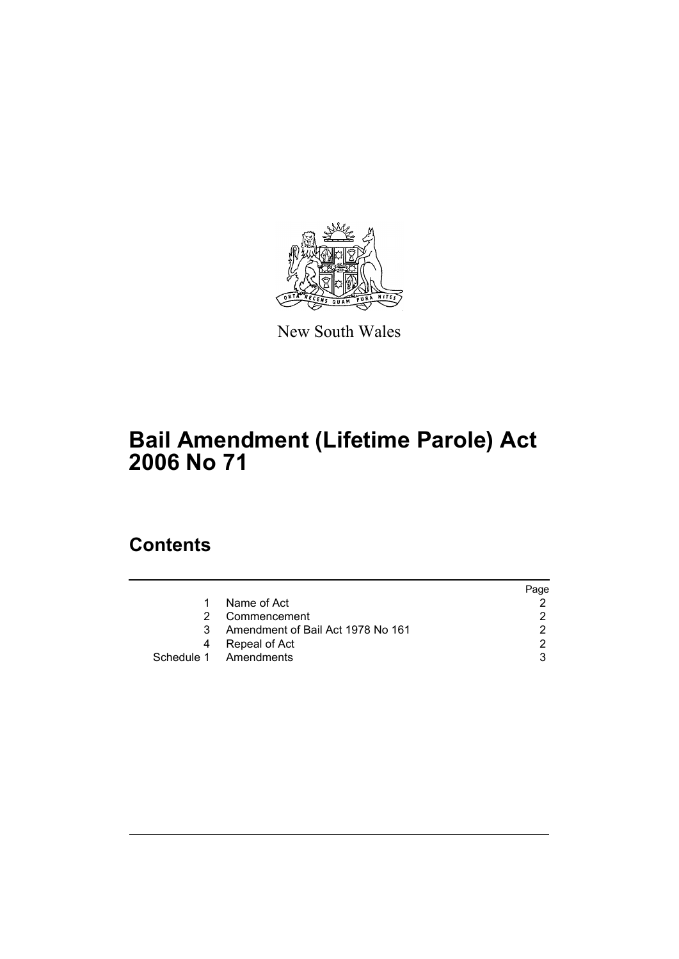

New South Wales

# **Bail Amendment (Lifetime Parole) Act 2006 No 71**

# **Contents**

|   |                                   | Page |
|---|-----------------------------------|------|
|   | Name of Act                       |      |
| 2 | Commencement                      |      |
| 3 | Amendment of Bail Act 1978 No 161 |      |
| 4 | Repeal of Act                     |      |
|   | Schedule 1 Amendments             |      |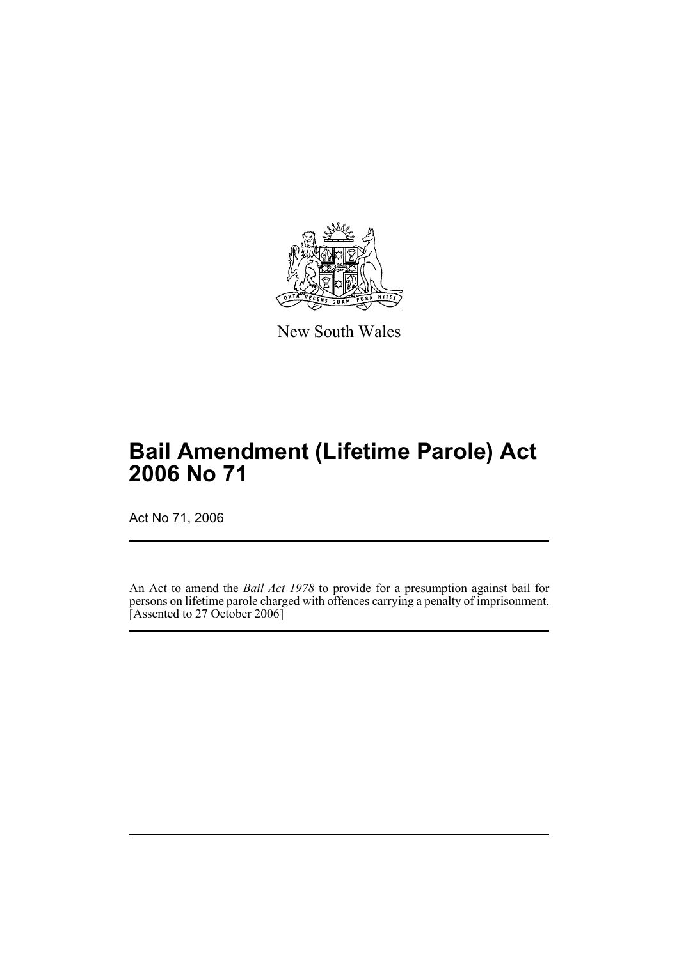

New South Wales

# **Bail Amendment (Lifetime Parole) Act 2006 No 71**

Act No 71, 2006

An Act to amend the *Bail Act 1978* to provide for a presumption against bail for persons on lifetime parole charged with offences carrying a penalty of imprisonment. Assented to 27 October 2006]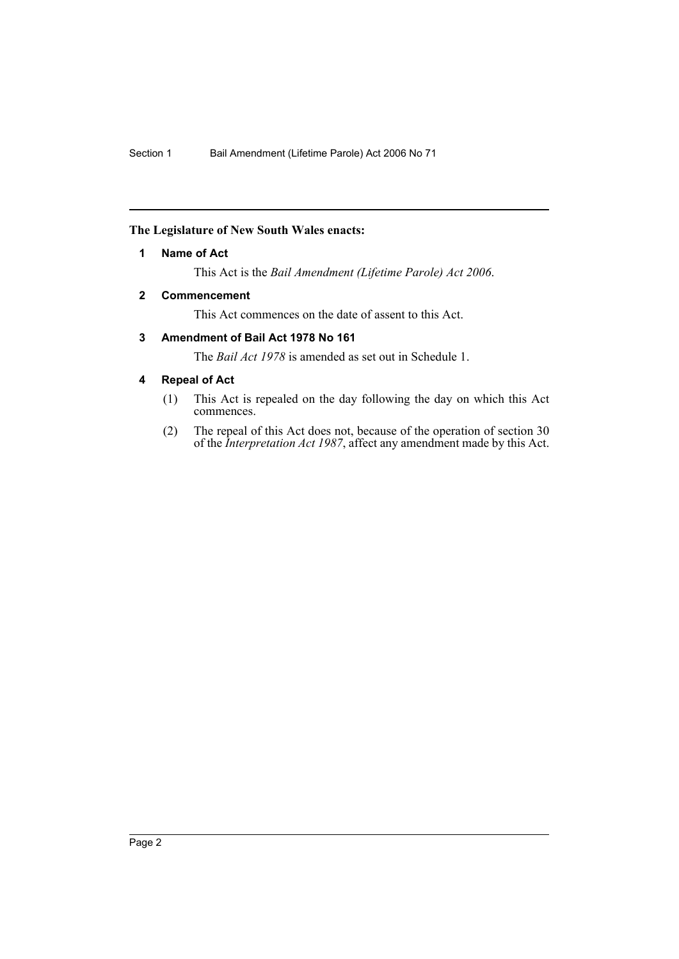## **The Legislature of New South Wales enacts:**

### **1 Name of Act**

This Act is the *Bail Amendment (Lifetime Parole) Act 2006*.

## **2 Commencement**

This Act commences on the date of assent to this Act.

### **3 Amendment of Bail Act 1978 No 161**

The *Bail Act 1978* is amended as set out in Schedule 1.

## **4 Repeal of Act**

- (1) This Act is repealed on the day following the day on which this Act commences.
- (2) The repeal of this Act does not, because of the operation of section 30 of the *Interpretation Act 1987*, affect any amendment made by this Act.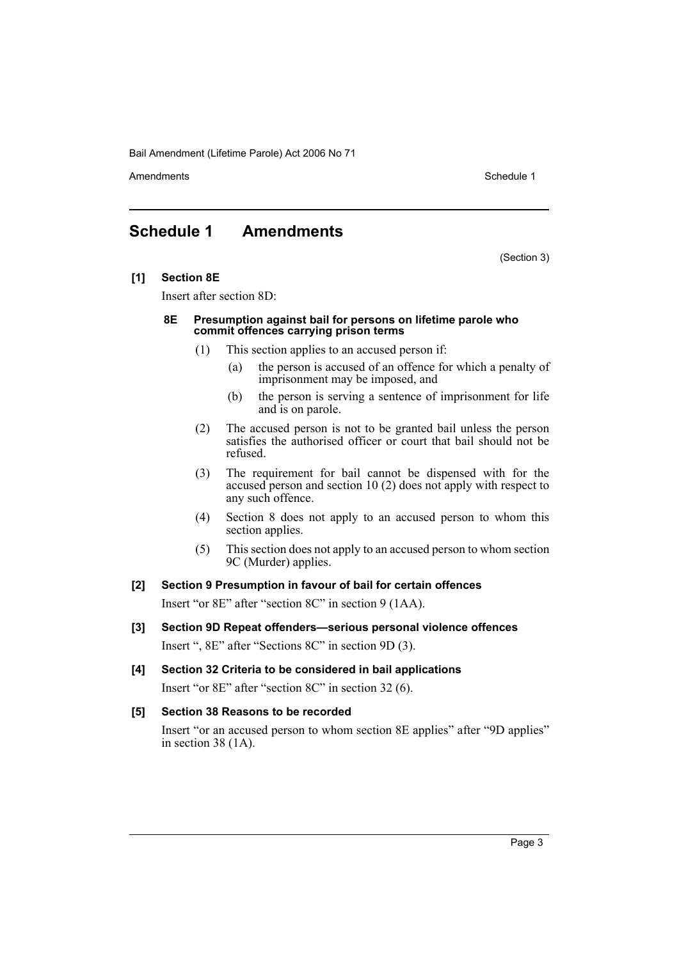Bail Amendment (Lifetime Parole) Act 2006 No 71

Amendments **Schedule 1** and the set of the set of the set of the set of the set of the set of the set of the set of the set of the set of the set of the set of the set of the set of the set of the set of the set of the set

## **Schedule 1 Amendments**

(Section 3)

**[1] Section 8E**

Insert after section 8D:

#### **8E Presumption against bail for persons on lifetime parole who commit offences carrying prison terms**

- (1) This section applies to an accused person if:
	- (a) the person is accused of an offence for which a penalty of imprisonment may be imposed, and
	- (b) the person is serving a sentence of imprisonment for life and is on parole.
- (2) The accused person is not to be granted bail unless the person satisfies the authorised officer or court that bail should not be refused.
- (3) The requirement for bail cannot be dispensed with for the accused person and section 10 (2) does not apply with respect to any such offence.
- (4) Section 8 does not apply to an accused person to whom this section applies.
- (5) This section does not apply to an accused person to whom section 9C (Murder) applies.

### **[2] Section 9 Presumption in favour of bail for certain offences**

Insert "or 8E" after "section 8C" in section 9 (1AA).

- **[3] Section 9D Repeat offenders—serious personal violence offences** Insert ", 8E" after "Sections 8C" in section 9D (3).
- **[4] Section 32 Criteria to be considered in bail applications**

Insert "or 8E" after "section 8C" in section 32 (6).

### **[5] Section 38 Reasons to be recorded**

Insert "or an accused person to whom section 8E applies" after "9D applies" in section 38 (1A).